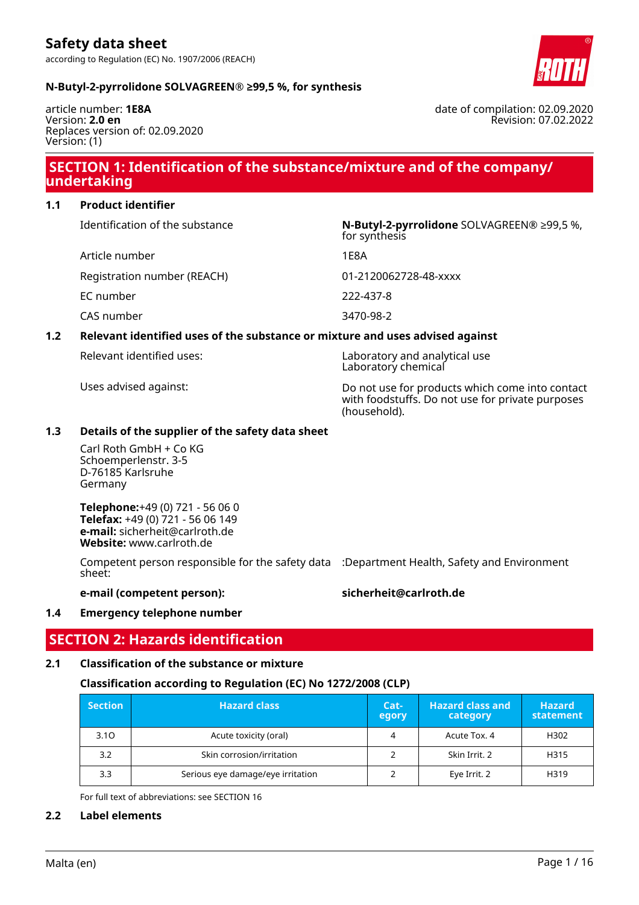

### **N-Butyl-2-pyrrolidone SOLVAGREEN® ≥99,5 %, for synthesis**

article number: **1E8A** Version: **2.0 en** Replaces version of: 02.09.2020 Version: (1)

date of compilation: 02.09.2020 Revision: 07.02.2022

### **SECTION 1: Identification of the substance/mixture and of the company/ undertaking**

### **1.1 Product identifier**

| Identification of the substance | N-Butyl-2-pyrrolidone SOLVAGREEN® ≥99,5 %,<br>for synthesis |
|---------------------------------|-------------------------------------------------------------|
| Article number                  | 1E8A                                                        |
| Registration number (REACH)     | 01-2120062728-48-xxxx                                       |
| EC number                       | 222-437-8                                                   |
| CAS number                      | 3470-98-2                                                   |
|                                 |                                                             |

### **1.2 Relevant identified uses of the substance or mixture and uses advised against**

|  | Relevant identified uses: |  |
|--|---------------------------|--|
|--|---------------------------|--|

Laboratory and analytical use Laboratory chemical

Uses advised against: Do not use for products which come into contact with foodstuffs. Do not use for private purposes (household).

### **1.3 Details of the supplier of the safety data sheet**

Carl Roth GmbH + Co KG Schoemperlenstr. 3-5 D-76185 Karlsruhe Germany

**Telephone:**+49 (0) 721 - 56 06 0 **Telefax:** +49 (0) 721 - 56 06 149 **e-mail:** sicherheit@carlroth.de **Website:** www.carlroth.de

Competent person responsible for the safety data :Department Health, Safety and Environment sheet:

### **e-mail (competent person): sicherheit@carlroth.de**

### **1.4 Emergency telephone number**

### **SECTION 2: Hazards identification**

### **2.1 Classification of the substance or mixture**

### **Classification according to Regulation (EC) No 1272/2008 (CLP)**

| <b>Section</b> | <b>Hazard class</b>               | Cat-<br>egory | <b>Hazard class and</b><br>category | <b>Hazard</b><br>statement |
|----------------|-----------------------------------|---------------|-------------------------------------|----------------------------|
| 3.10           | Acute toxicity (oral)             |               | Acute Tox. 4                        | H302                       |
| 3.2            | Skin corrosion/irritation         |               | Skin Irrit. 2                       | H315                       |
| 3.3            | Serious eye damage/eye irritation |               | Eye Irrit. 2                        | H319                       |

For full text of abbreviations: see SECTION 16

### **2.2 Label elements**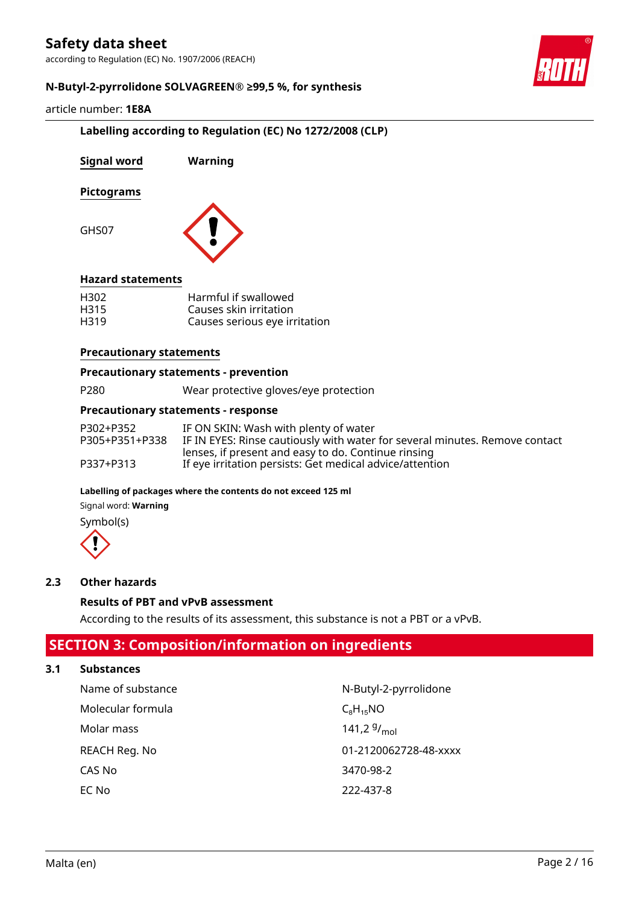according to Regulation (EC) No. 1907/2006 (REACH)



### **N-Butyl-2-pyrrolidone SOLVAGREEN® ≥99,5 %, for synthesis**

### article number: **1E8A**

### **Labelling according to Regulation (EC) No 1272/2008 (CLP)**

| Signal word              | Warning                                                                         |
|--------------------------|---------------------------------------------------------------------------------|
| <b>Pictograms</b>        |                                                                                 |
| GHS07                    |                                                                                 |
| <b>Hazard statements</b> |                                                                                 |
| H302<br>H315<br>H319     | Harmful if swallowed<br>Causes skin irritation<br>Causes serious eye irritation |

#### **Precautionary statements**

#### **Precautionary statements - prevention**

| P <sub>280</sub> | Wear protective gloves/eye protection |
|------------------|---------------------------------------|
|                  |                                       |

### **Precautionary statements - response**

| P302+P352      | IF ON SKIN: Wash with plenty of water                                       |
|----------------|-----------------------------------------------------------------------------|
| P305+P351+P338 | IF IN EYES: Rinse cautiously with water for several minutes. Remove contact |
|                | lenses, if present and easy to do. Continue rinsing                         |
| P337+P313      | If eye irritation persists: Get medical advice/attention                    |

#### **Labelling of packages where the contents do not exceed 125 ml**

Signal word: **Warning**

Symbol(s)



### **2.3 Other hazards**

### **Results of PBT and vPvB assessment**

According to the results of its assessment, this substance is not a PBT or a vPvB.

### **SECTION 3: Composition/information on ingredients**

### **3.1 Substances**

| Name of substance | N-Butyl-2-pyrrolidone |
|-------------------|-----------------------|
| Molecular formula | $C_8H_{15}NO$         |
| Molar mass        | 141,2 $9/_{mol}$      |
| REACH Reg. No     | 01-2120062728-48-xxxx |
| CAS No            | 3470-98-2             |
| EC No             | 222-437-8             |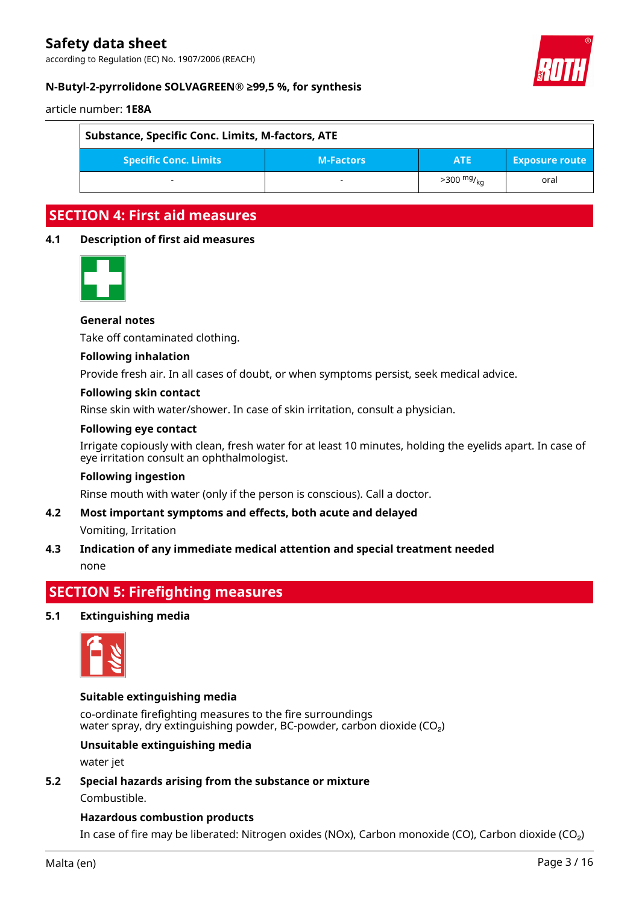according to Regulation (EC) No. 1907/2006 (REACH)



### **N-Butyl-2-pyrrolidone SOLVAGREEN® ≥99,5 %, for synthesis**

article number: **1E8A**

| Substance, Specific Conc. Limits, M-factors, ATE |                  |                      |                       |
|--------------------------------------------------|------------------|----------------------|-----------------------|
| <b>Specific Conc. Limits</b>                     | <b>M-Factors</b> | <b>ATE</b>           | <b>Exposure route</b> |
|                                                  | -                | $>300 \frac{mg}{kn}$ | oral                  |

### **SECTION 4: First aid measures**

### **4.1 Description of first aid measures**



### **General notes**

Take off contaminated clothing.

### **Following inhalation**

Provide fresh air. In all cases of doubt, or when symptoms persist, seek medical advice.

### **Following skin contact**

Rinse skin with water/shower. In case of skin irritation, consult a physician.

### **Following eye contact**

Irrigate copiously with clean, fresh water for at least 10 minutes, holding the eyelids apart. In case of eye irritation consult an ophthalmologist.

#### **Following ingestion**

Rinse mouth with water (only if the person is conscious). Call a doctor.

### **4.2 Most important symptoms and effects, both acute and delayed**

Vomiting, Irritation

### **4.3 Indication of any immediate medical attention and special treatment needed** none

### **SECTION 5: Firefighting measures**

### **5.1 Extinguishing media**



### **Suitable extinguishing media**

co-ordinate firefighting measures to the fire surroundings water spray, dry extinguishing powder, BC-powder, carbon dioxide (CO<sub>2</sub>)

### **Unsuitable extinguishing media**

water jet

### **5.2 Special hazards arising from the substance or mixture**

Combustible.

### **Hazardous combustion products**

In case of fire may be liberated: Nitrogen oxides (NOx), Carbon monoxide (CO), Carbon dioxide (CO₂)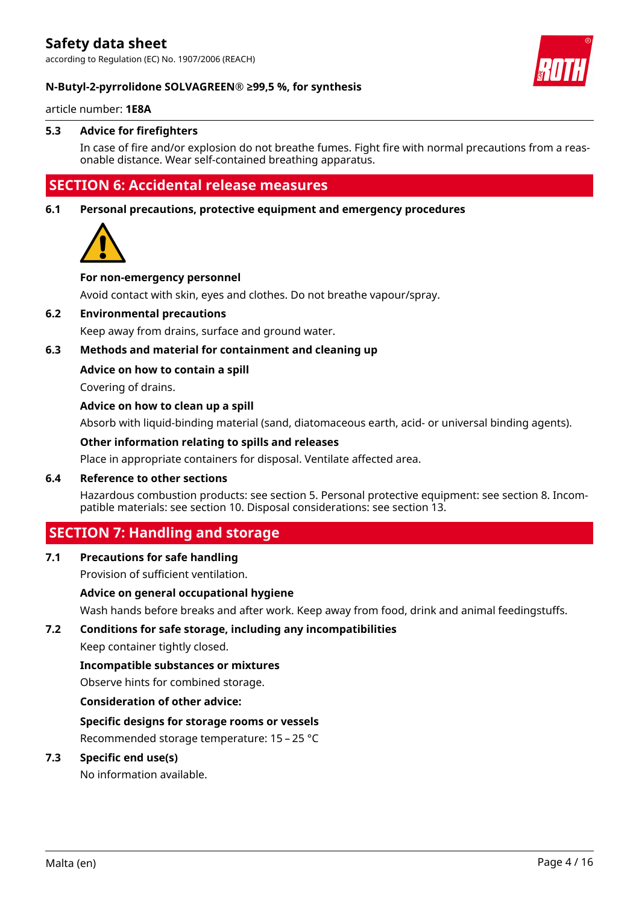according to Regulation (EC) No. 1907/2006 (REACH)



### **N-Butyl-2-pyrrolidone SOLVAGREEN® ≥99,5 %, for synthesis**

article number: **1E8A**

### **5.3 Advice for firefighters**

In case of fire and/or explosion do not breathe fumes. Fight fire with normal precautions from a reasonable distance. Wear self-contained breathing apparatus.

### **SECTION 6: Accidental release measures**

**6.1 Personal precautions, protective equipment and emergency procedures**



### **For non-emergency personnel**

Avoid contact with skin, eyes and clothes. Do not breathe vapour/spray.

### **6.2 Environmental precautions**

Keep away from drains, surface and ground water.

### **6.3 Methods and material for containment and cleaning up**

### **Advice on how to contain a spill**

Covering of drains.

### **Advice on how to clean up a spill**

Absorb with liquid-binding material (sand, diatomaceous earth, acid- or universal binding agents).

### **Other information relating to spills and releases**

Place in appropriate containers for disposal. Ventilate affected area.

### **6.4 Reference to other sections**

Hazardous combustion products: see section 5. Personal protective equipment: see section 8. Incompatible materials: see section 10. Disposal considerations: see section 13.

### **SECTION 7: Handling and storage**

### **7.1 Precautions for safe handling**

Provision of sufficient ventilation.

### **Advice on general occupational hygiene**

Wash hands before breaks and after work. Keep away from food, drink and animal feedingstuffs.

# **7.2 Conditions for safe storage, including any incompatibilities**

Keep container tightly closed.

### **Incompatible substances or mixtures**

Observe hints for combined storage.

#### **Consideration of other advice:**

### **Specific designs for storage rooms or vessels**

Recommended storage temperature: 15 – 25 °C

### **7.3 Specific end use(s)**

No information available.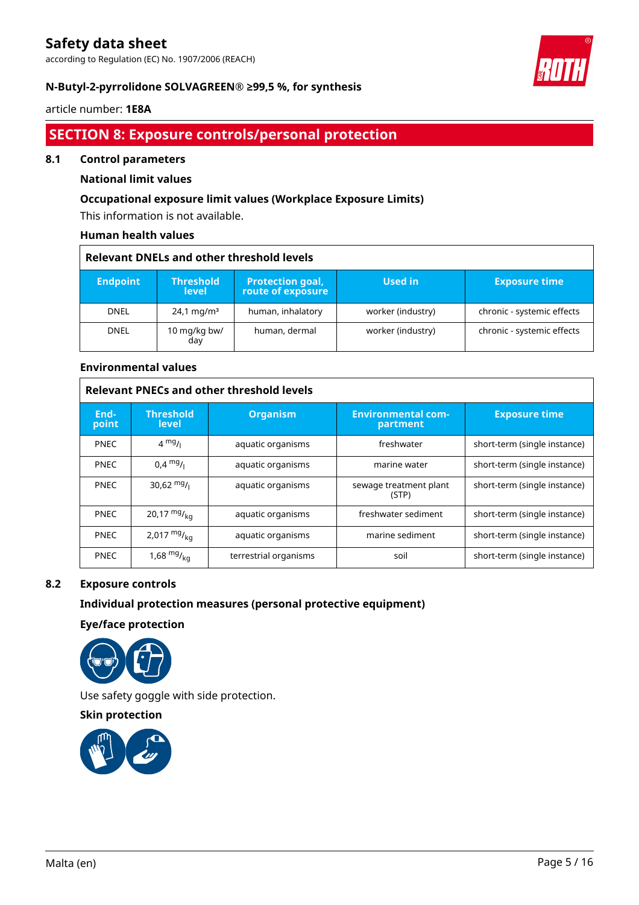according to Regulation (EC) No. 1907/2006 (REACH)



### **N-Butyl-2-pyrrolidone SOLVAGREEN® ≥99,5 %, for synthesis**

### article number: **1E8A**

### **SECTION 8: Exposure controls/personal protection**

### **8.1 Control parameters**

### **National limit values**

### **Occupational exposure limit values (Workplace Exposure Limits)**

This information is not available.

### **Human health values**

| <b>Relevant DNELs and other threshold levels</b> |                                  |                                              |                   |                            |
|--------------------------------------------------|----------------------------------|----------------------------------------------|-------------------|----------------------------|
| <b>Endpoint</b>                                  | <b>Threshold</b><br><b>level</b> | <b>Protection goal,</b><br>route of exposure | Used in           | <b>Exposure time</b>       |
| <b>DNEL</b>                                      | $24.1 \,\mathrm{mg/m^3}$         | human, inhalatory                            | worker (industry) | chronic - systemic effects |
| <b>DNEL</b>                                      | 10 mg/kg bw/<br>day              | human, dermal                                | worker (industry) | chronic - systemic effects |

### **Environmental values**

| <b>Relevant PNECs and other threshold levels</b> |                                  |                       |                                       |                              |
|--------------------------------------------------|----------------------------------|-----------------------|---------------------------------------|------------------------------|
| End-<br>point                                    | <b>Threshold</b><br><b>level</b> | <b>Organism</b>       | <b>Environmental com-</b><br>partment | <b>Exposure time</b>         |
| <b>PNEC</b>                                      | $4 \frac{mg}{l}$                 | aquatic organisms     | freshwater                            | short-term (single instance) |
| <b>PNEC</b>                                      | $0.4 \frac{mg}{l}$               | aquatic organisms     | marine water                          | short-term (single instance) |
| <b>PNEC</b>                                      | 30,62 $mg/$                      | aquatic organisms     | sewage treatment plant<br>(STP)       | short-term (single instance) |
| <b>PNEC</b>                                      | 20,17 $mg/_{kq}$                 | aquatic organisms     | freshwater sediment                   | short-term (single instance) |
| <b>PNEC</b>                                      | 2,017 $mg/_{ka}$                 | aquatic organisms     | marine sediment                       | short-term (single instance) |
| <b>PNEC</b>                                      | 1,68 $mg/_{ka}$                  | terrestrial organisms | soil                                  | short-term (single instance) |

### **8.2 Exposure controls**

### **Individual protection measures (personal protective equipment)**

**Eye/face protection**



Use safety goggle with side protection.

**Skin protection**

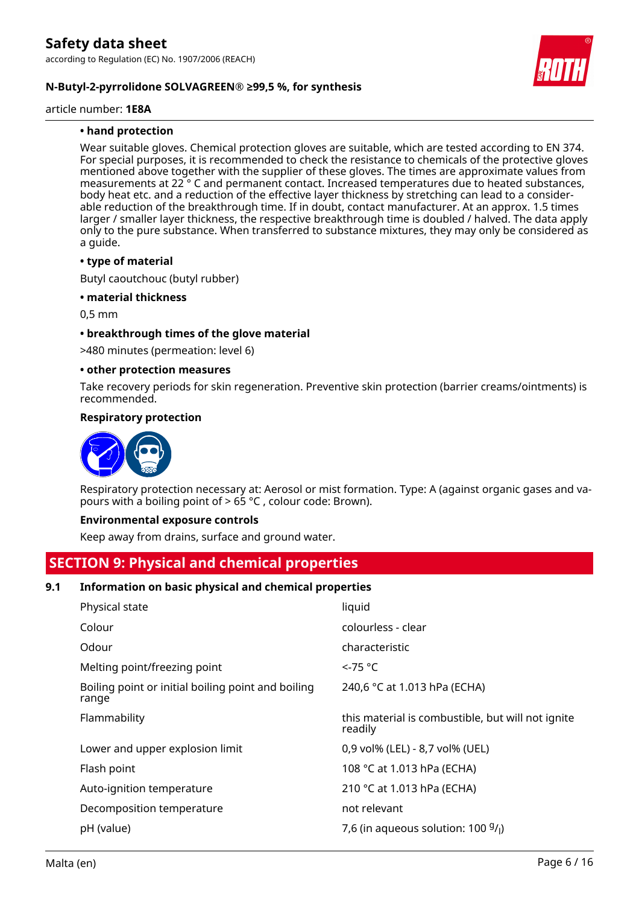### **N-Butyl-2-pyrrolidone SOLVAGREEN® ≥99,5 %, for synthesis**

article number: **1E8A**

### **• hand protection**

Wear suitable gloves. Chemical protection gloves are suitable, which are tested according to EN 374. For special purposes, it is recommended to check the resistance to chemicals of the protective gloves mentioned above together with the supplier of these gloves. The times are approximate values from measurements at 22 ° C and permanent contact. Increased temperatures due to heated substances, body heat etc. and a reduction of the effective layer thickness by stretching can lead to a considerable reduction of the breakthrough time. If in doubt, contact manufacturer. At an approx. 1.5 times larger / smaller layer thickness, the respective breakthrough time is doubled / halved. The data apply only to the pure substance. When transferred to substance mixtures, they may only be considered as a guide.

#### **• type of material**

Butyl caoutchouc (butyl rubber)

### **• material thickness**

0,5 mm

### **• breakthrough times of the glove material**

>480 minutes (permeation: level 6)

#### **• other protection measures**

Take recovery periods for skin regeneration. Preventive skin protection (barrier creams/ointments) is recommended.

### **Respiratory protection**



Respiratory protection necessary at: Aerosol or mist formation. Type: A (against organic gases and vapours with a boiling point of  $> 65$  °C, colour code: Brown).

#### **Environmental exposure controls**

Keep away from drains, surface and ground water.

### **SECTION 9: Physical and chemical properties**

### **9.1 Information on basic physical and chemical properties**

| Physical state                                              | liquid                                                       |
|-------------------------------------------------------------|--------------------------------------------------------------|
| Colour                                                      | colourless - clear                                           |
| Odour                                                       | characteristic                                               |
| Melting point/freezing point                                | $\le$ -75 °C                                                 |
| Boiling point or initial boiling point and boiling<br>range | 240,6 °C at 1.013 hPa (ECHA)                                 |
| Flammability                                                | this material is combustible, but will not ignite<br>readily |
| Lower and upper explosion limit                             | 0,9 vol% (LEL) - 8,7 vol% (UEL)                              |
| Flash point                                                 | 108 °C at 1.013 hPa (ECHA)                                   |
| Auto-ignition temperature                                   | 210 °C at 1.013 hPa (ECHA)                                   |
| Decomposition temperature                                   | not relevant                                                 |
| pH (value)                                                  | 7,6 (in aqueous solution: $100 \frac{9}{l}$ )                |
|                                                             |                                                              |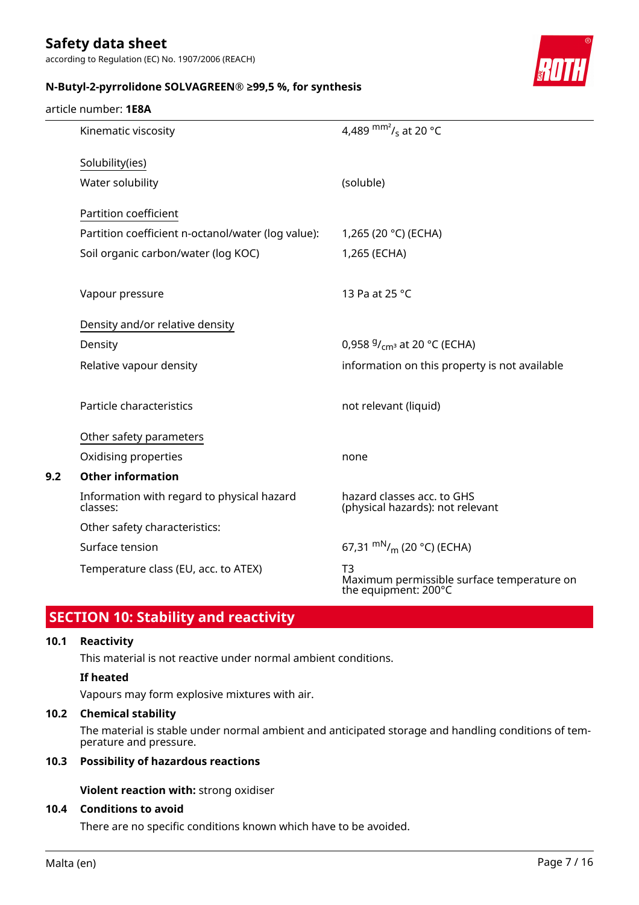according to Regulation (EC) No. 1907/2006 (REACH)



### **N-Butyl-2-pyrrolidone SOLVAGREEN® ≥99,5 %, for synthesis**

### article number: **1E8A**

| Kinematic viscosity                                    | 4,489 $\text{mm}^2$ / <sub>s</sub> at 20 °C                              |
|--------------------------------------------------------|--------------------------------------------------------------------------|
| Solubility(ies)                                        |                                                                          |
| Water solubility                                       | (soluble)                                                                |
| Partition coefficient                                  |                                                                          |
| Partition coefficient n-octanol/water (log value):     | 1,265 (20 °C) (ECHA)                                                     |
| Soil organic carbon/water (log KOC)                    | 1,265 (ECHA)                                                             |
| Vapour pressure                                        | 13 Pa at 25 °C                                                           |
| Density and/or relative density                        |                                                                          |
| Density                                                | 0,958 $9/_{cm^3}$ at 20 °C (ECHA)                                        |
| Relative vapour density                                | information on this property is not available                            |
| Particle characteristics                               | not relevant (liquid)                                                    |
| Other safety parameters                                |                                                                          |
| Oxidising properties                                   | none                                                                     |
| <b>Other information</b>                               |                                                                          |
| Information with regard to physical hazard<br>classes: | hazard classes acc. to GHS<br>(physical hazards): not relevant           |
| Other safety characteristics:                          |                                                                          |
| Surface tension                                        | 67,31 $\rm{mN}_{/m}$ (20 °C) (ECHA)                                      |
| Temperature class (EU, acc. to ATEX)                   | T3<br>Maximum permissible surface temperature on<br>the equipment: 200°C |

# **SECTION 10: Stability and reactivity**

### **10.1 Reactivity**

**9.2 Other information**

This material is not reactive under normal ambient conditions.

### **If heated**

Vapours may form explosive mixtures with air.

### **10.2 Chemical stability**

The material is stable under normal ambient and anticipated storage and handling conditions of temperature and pressure.

### **10.3 Possibility of hazardous reactions**

**Violent reaction with:** strong oxidiser

### **10.4 Conditions to avoid**

There are no specific conditions known which have to be avoided.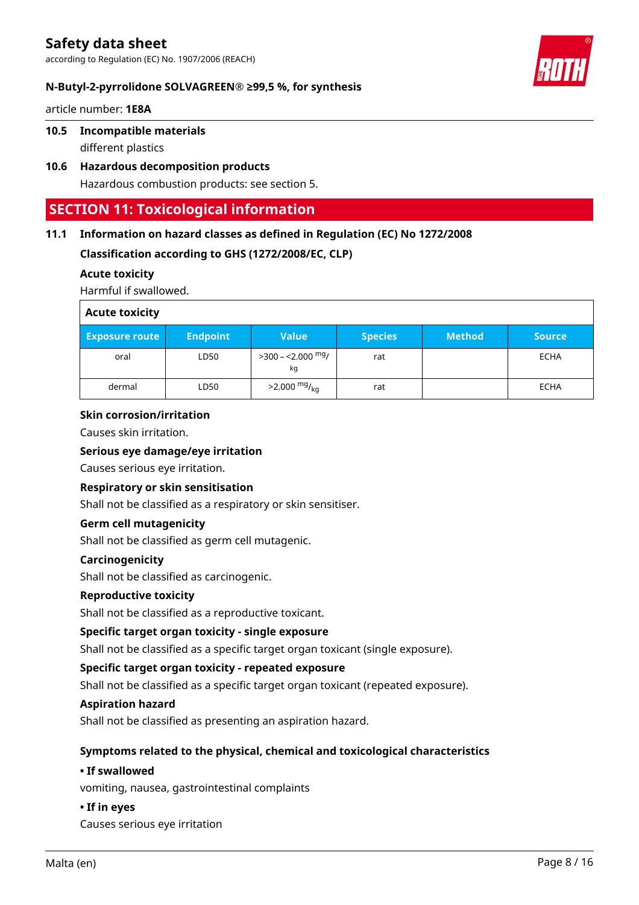according to Regulation (EC) No. 1907/2006 (REACH)



### **N-Butyl-2-pyrrolidone SOLVAGREEN® ≥99,5 %, for synthesis**

article number: **1E8A**

### **10.5 Incompatible materials**

different plastics

**10.6 Hazardous decomposition products** Hazardous combustion products: see section 5.

### **SECTION 11: Toxicological information**

### **11.1 Information on hazard classes as defined in Regulation (EC) No 1272/2008**

**Classification according to GHS (1272/2008/EC, CLP)**

### **Acute toxicity**

Harmful if swallowed.

| <b>Acute toxicity</b> |                 |                              |                |               |               |
|-----------------------|-----------------|------------------------------|----------------|---------------|---------------|
| <b>Exposure route</b> | <b>Endpoint</b> | <b>Value</b>                 | <b>Species</b> | <b>Method</b> | <b>Source</b> |
| oral                  | LD50            | $>$ 300 – <2.000 $mg/$<br>kg | rat            |               | ECHA          |
| dermal                | LD50            | $>2.000 \frac{mg}{kg}$       | rat            |               | <b>ECHA</b>   |

### **Skin corrosion/irritation**

Causes skin irritation.

### **Serious eye damage/eye irritation**

Causes serious eye irritation.

### **Respiratory or skin sensitisation**

Shall not be classified as a respiratory or skin sensitiser.

### **Germ cell mutagenicity**

Shall not be classified as germ cell mutagenic.

### **Carcinogenicity**

Shall not be classified as carcinogenic.

### **Reproductive toxicity**

Shall not be classified as a reproductive toxicant.

### **Specific target organ toxicity - single exposure**

Shall not be classified as a specific target organ toxicant (single exposure).

### **Specific target organ toxicity - repeated exposure**

Shall not be classified as a specific target organ toxicant (repeated exposure).

### **Aspiration hazard**

Shall not be classified as presenting an aspiration hazard.

### **Symptoms related to the physical, chemical and toxicological characteristics**

### **• If swallowed**

vomiting, nausea, gastrointestinal complaints

### **• If in eyes**

Causes serious eye irritation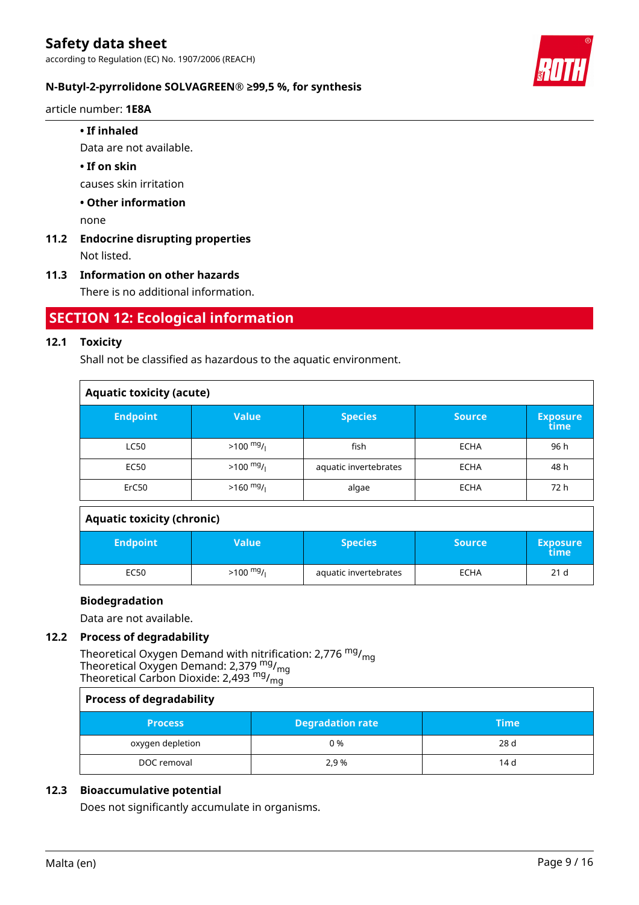

### **N-Butyl-2-pyrrolidone SOLVAGREEN® ≥99,5 %, for synthesis**

article number: **1E8A**

### **• If inhaled**

Data are not available.

### **• If on skin**

causes skin irritation

### **• Other information**

none

# **11.2 Endocrine disrupting properties**

Not listed.

### **11.3 Information on other hazards**

There is no additional information.

### **SECTION 12: Ecological information**

### **12.1 Toxicity**

Shall not be classified as hazardous to the aquatic environment.

| <b>Aquatic toxicity (acute)</b> |                     |                       |               |                         |  |
|---------------------------------|---------------------|-----------------------|---------------|-------------------------|--|
| <b>Endpoint</b>                 | <b>Value</b>        | <b>Species</b>        | <b>Source</b> | <b>Exposure</b><br>time |  |
| <b>LC50</b>                     | $>100 \frac{mg}{l}$ | fish                  | <b>ECHA</b>   | 96 h                    |  |
| <b>EC50</b>                     | $>100 \frac{mg}{l}$ | aquatic invertebrates | <b>ECHA</b>   | 48 h                    |  |
| ErC50                           | $>160$ mg/          | algae                 | <b>ECHA</b>   | 72 h                    |  |

### **Aquatic toxicity (chronic)**

| <b>Endpoint</b> | Value               | <b>Species</b>        | <b>Source</b> | <b>Exposure</b><br>time |
|-----------------|---------------------|-----------------------|---------------|-------------------------|
| EC50            | $>100 \frac{mg}{l}$ | aquatic invertebrates | <b>ECHA</b>   | 21 d                    |

### **Biodegradation**

Data are not available.

### **12.2 Process of degradability**

Theoretical Oxygen Demand with nitrification: 2,776 <sup>mg</sup>/<sub>mg</sub> Theoretical Oxygen Demand: 2,379  $\frac{mg}{mg}$ Theoretical Carbon Dioxide: 2,493 mg/<sub>mg</sub>

| <b>Process of degradability</b> |                         |             |  |
|---------------------------------|-------------------------|-------------|--|
| <b>Process</b>                  | <b>Degradation rate</b> | <b>Time</b> |  |
| oxygen depletion                | 0 %                     | 28 d        |  |
| DOC removal                     | 2.9 %                   | 14 d        |  |

### **12.3 Bioaccumulative potential**

Does not significantly accumulate in organisms.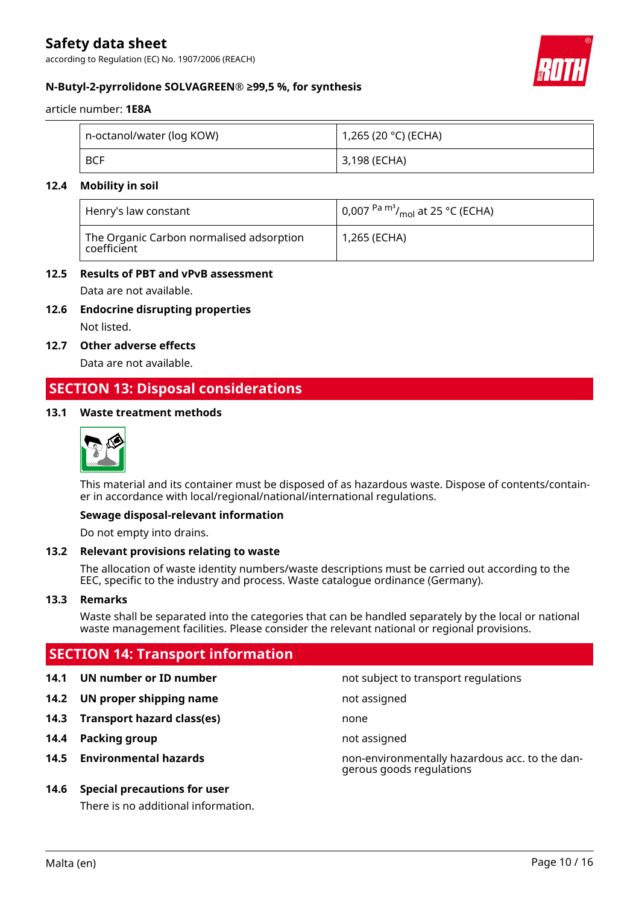according to Regulation (EC) No. 1907/2006 (REACH)



### **N-Butyl-2-pyrrolidone SOLVAGREEN® ≥99,5 %, for synthesis**

article number: **1E8A**

| n-octanol/water (log KOW) | 1,265 (20 °C) (ECHA) |
|---------------------------|----------------------|
| <b>BCF</b>                | 3,198 (ECHA)         |

### **12.4 Mobility in soil**

| Henry's law constant                                                   | $\vert$ 0,007 <sup>Pa m<sup>3</sup>/<sub>mol</sub> at 25 °C (ECHA)</sup> |
|------------------------------------------------------------------------|--------------------------------------------------------------------------|
| The Organic Carbon normalised adsorption<br>$^{\shortmid}$ coefficient | 1,265 (ECHA)                                                             |

### **12.5 Results of PBT and vPvB assessment**

Data are not available.

**12.6 Endocrine disrupting properties**

Not listed.

**12.7 Other adverse effects**

Data are not available.

### **SECTION 13: Disposal considerations**

### **13.1 Waste treatment methods**



This material and its container must be disposed of as hazardous waste. Dispose of contents/container in accordance with local/regional/national/international regulations.

#### **Sewage disposal-relevant information**

Do not empty into drains.

#### **13.2 Relevant provisions relating to waste**

The allocation of waste identity numbers/waste descriptions must be carried out according to the EEC, specific to the industry and process. Waste catalogue ordinance (Germany).

#### **13.3 Remarks**

Waste shall be separated into the categories that can be handled separately by the local or national waste management facilities. Please consider the relevant national or regional provisions.

### **SECTION 14: Transport information**

- 
- **14.2 UN proper shipping name** not assigned
- **14.3 Transport hazard class(es)** none
- **14.4 Packing group not assigned**
- 

### **14.6 Special precautions for user**

There is no additional information.

**14.1 UN number or ID number not subject to transport regulations** 

**14.5 Environmental hazards** non-environmentally hazardous acc. to the dangerous goods regulations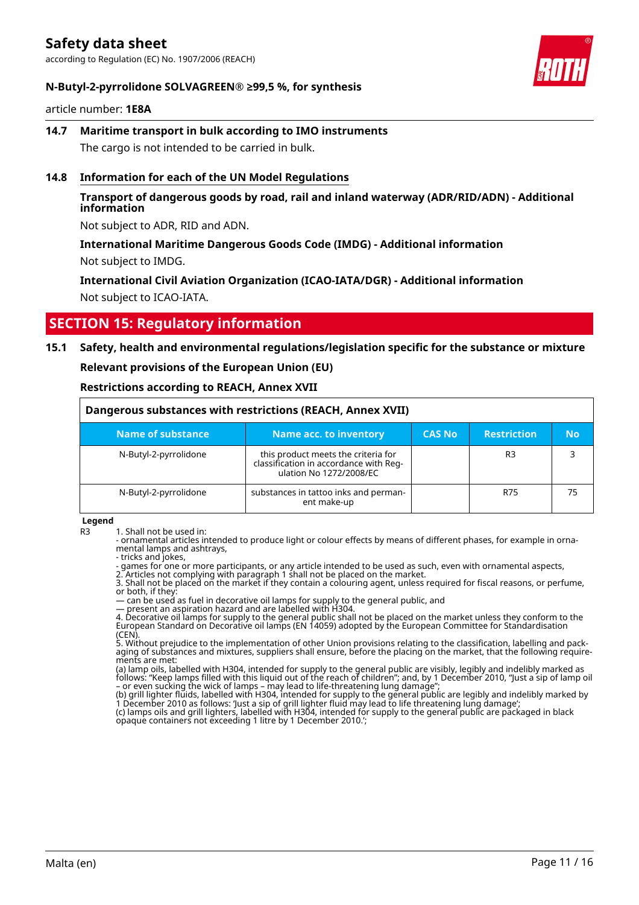according to Regulation (EC) No. 1907/2006 (REACH)



### **N-Butyl-2-pyrrolidone SOLVAGREEN® ≥99,5 %, for synthesis**

article number: **1E8A**

**14.7 Maritime transport in bulk according to IMO instruments** The cargo is not intended to be carried in bulk.

### **14.8 Information for each of the UN Model Regulations**

### **Transport of dangerous goods by road, rail and inland waterway (ADR/RID/ADN) - Additional information**

Not subject to ADR, RID and ADN.

### **International Maritime Dangerous Goods Code (IMDG) - Additional information** Not subject to IMDG.

**International Civil Aviation Organization (ICAO-IATA/DGR) - Additional information** Not subject to ICAO-IATA.

### **SECTION 15: Regulatory information**

### **15.1 Safety, health and environmental regulations/legislation specific for the substance or mixture**

**Relevant provisions of the European Union (EU)**

**Restrictions according to REACH, Annex XVII**

| Dangerous substances with restrictions (REACH, Annex XVII) |                                                                                                          |               |                    |    |
|------------------------------------------------------------|----------------------------------------------------------------------------------------------------------|---------------|--------------------|----|
| <b>Name of substance</b>                                   | <b>Name acc. to inventory</b>                                                                            | <b>CAS No</b> | <b>Restriction</b> | No |
| N-Butyl-2-pyrrolidone                                      | this product meets the criteria for<br>classification in accordance with Reg-<br>ulation No 1272/2008/EC |               | R <sub>3</sub>     | 3  |
| N-Butyl-2-pyrrolidone                                      | substances in tattoo inks and perman-<br>ent make-up                                                     |               | R75                | 75 |

**Legend**

R3 1. Shall not be used in:

- ornamental articles intended to produce light or colour effects by means of different phases, for example in ornamental lamps and ashtrays,

- tricks and jokes, - games for one or more participants, or any article intended to be used as such, even with ornamental aspects,

2. Articles not complying with paragraph 1 shall not be placed on the market.

3. Shall not be placed on the market if they contain a colouring agent, unless required for fiscal reasons, or perfume, or both, if they:

— can be used as fuel in decorative oil lamps for supply to the general public, and

— present an aspiration hazard and are labelled with H304. 4. Decorative oil lamps for supply to the general public shall not be placed on the market unless they conform to the European Standard on Decorative oil lamps (EN 14059) adopted by the European Committee for Standardisation (CEN).

5. Without prejudice to the implementation of other Union provisions relating to the classification, labelling and packaging of substances and mixtures, suppliers shall ensure, before the placing on the market, that the following requirements are met:

(a) lamp oils, labelled with H304, intended for supply to the general public are visibly, legibly and indelibly marked as follows: "Keep lamps filled with this liquid out of the reach of children"; and, by 1 December 2010, "Just a sip of lamp oil – or even sucking the wick of lamps – may lead to life-threatening lung damage";

(b) grill lighter fluids, labelled with H304, intended for supply to the general public are legibly and indelibly marked by 1 December 2010 as follows: 'Just a sip of grill lighter fluid may lead to life threatening lung damage'; (c) lamps oils and grill lighters, labelled with H304, intended for supply to the general public are packaged in black opaque containers not exceeding 1 litre by 1 December 2010.';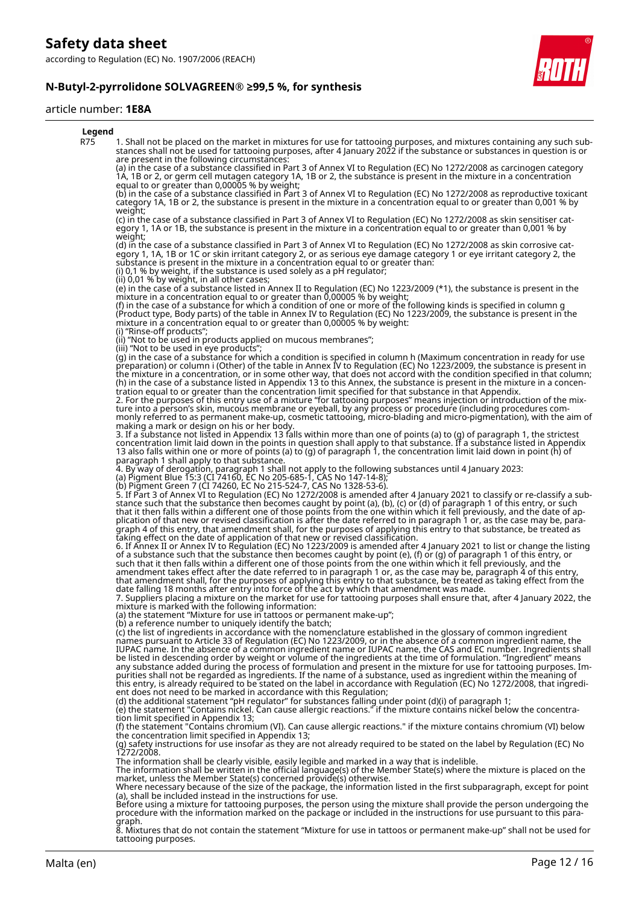

#### article number: **1E8A**



tattooing purposes.

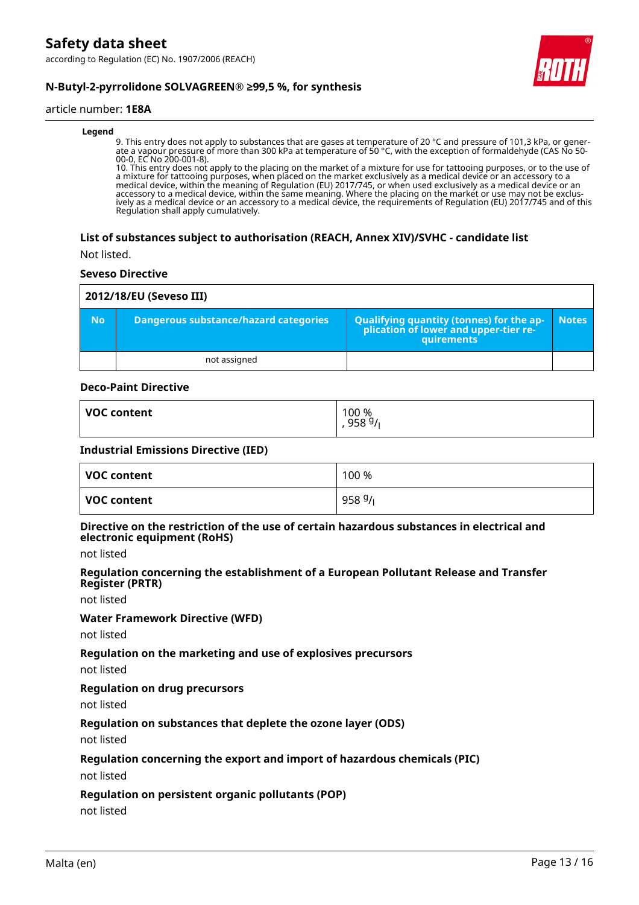

### **N-Butyl-2-pyrrolidone SOLVAGREEN® ≥99,5 %, for synthesis**

#### article number: **1E8A**

#### **Legend**

9. This entry does not apply to substances that are gases at temperature of 20 °C and pressure of 101,3 kPa, or generate a vapour pressure of more than 300 kPa at temperature of 50 °C, with the exception of formaldehyde (CAS No 50- 00-0, EC No 200-001-8).

10. This entry does not apply to the placing on the market of a mixture for use for tattooing purposes, or to the use of a mixture for tattooing purposes, when placed on the market exclusively as a medical device or an accessory to a medical device, within the meaning of Regulation (EU) 2017/745, or when used exclusively as a medical device or an accessory to a medical device, within the same meaning. Where the placing on the market or use may not be exclusively as a medical device or an accessory to a medical device, the requirements of Regulation (EU) 2017/745 and of this Regulation shall apply cumulatively.

#### **List of substances subject to authorisation (REACH, Annex XIV)/SVHC - candidate list**

Not listed.

#### **Seveso Directive**

|           | 2012/18/EU (Seveso III)                      |                                                                                            |              |  |  |  |
|-----------|----------------------------------------------|--------------------------------------------------------------------------------------------|--------------|--|--|--|
| <b>No</b> | <b>Dangerous substance/hazard categories</b> | Qualifying quantity (tonnes) for the application of lower and upper-tier re-<br>quirements | <b>Notes</b> |  |  |  |
|           | not assigned                                 |                                                                                            |              |  |  |  |

### **Deco-Paint Directive**

| <b>VOC content</b> | 100 %<br>958 $9/1$ |
|--------------------|--------------------|
|                    |                    |

### **Industrial Emissions Directive (IED)**

| VOC content | 100 % |
|-------------|-------|
| VOC content | 9589/ |

#### **Directive on the restriction of the use of certain hazardous substances in electrical and electronic equipment (RoHS)**

not listed

#### **Regulation concerning the establishment of a European Pollutant Release and Transfer Register (PRTR)**

not listed

#### **Water Framework Directive (WFD)**

not listed

#### **Regulation on the marketing and use of explosives precursors**

not listed

### **Regulation on drug precursors**

not listed

### **Regulation on substances that deplete the ozone layer (ODS)**

not listed

#### **Regulation concerning the export and import of hazardous chemicals (PIC)**

not listed

#### **Regulation on persistent organic pollutants (POP)**

not listed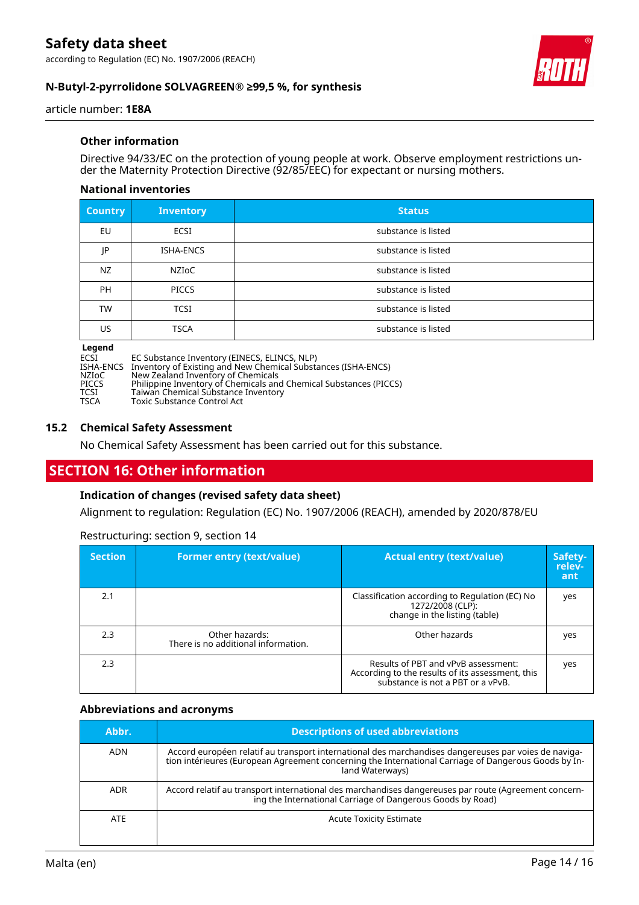

### **N-Butyl-2-pyrrolidone SOLVAGREEN® ≥99,5 %, for synthesis**

article number: **1E8A**

### **Other information**

Directive 94/33/EC on the protection of young people at work. Observe employment restrictions under the Maternity Protection Directive (92/85/EEC) for expectant or nursing mothers.

### **National inventories**

| <b>Country</b> | <b>Inventory</b> | <b>Status</b>       |
|----------------|------------------|---------------------|
| EU             | ECSI             | substance is listed |
| JP             | <b>ISHA-ENCS</b> | substance is listed |
| NZ             | <b>NZIOC</b>     | substance is listed |
| <b>PH</b>      | <b>PICCS</b>     | substance is listed |
| TW             | <b>TCSI</b>      | substance is listed |
| US             | <b>TSCA</b>      | substance is listed |

# **Legend**

ECSI EC Substance Inventory (EINECS, ELINCS, NLP)

ISHA-ENCS Inventory of Existing and New Chemical Substances (ISHA-ENCS)

NZIoC New Zealand Inventory of Chemicals PICCS Philippine Inventory of Chemicals and Chemical Substances (PICCS)

TCSI Taiwan Chemical Substance Inventory

TSCA Toxic Substance Control Act

### **15.2 Chemical Safety Assessment**

No Chemical Safety Assessment has been carried out for this substance.

## **SECTION 16: Other information**

### **Indication of changes (revised safety data sheet)**

Alignment to regulation: Regulation (EC) No. 1907/2006 (REACH), amended by 2020/878/EU

| <b>Section</b> | <b>Former entry (text/value)</b>                      | <b>Actual entry (text/value)</b>                                                                                             | Safety-<br>relev-<br>ant |
|----------------|-------------------------------------------------------|------------------------------------------------------------------------------------------------------------------------------|--------------------------|
| 2.1            |                                                       | Classification according to Regulation (EC) No<br>1272/2008 (CLP):<br>change in the listing (table)                          | yes                      |
| 2.3            | Other hazards:<br>There is no additional information. | Other hazards                                                                                                                | yes                      |
| 2.3            |                                                       | Results of PBT and vPvB assessment:<br>According to the results of its assessment, this<br>substance is not a PBT or a vPvB. | yes                      |

Restructuring: section 9, section 14

### **Abbreviations and acronyms**

| Abbr.      | <b>Descriptions of used abbreviations</b>                                                                                                                                                                                       |
|------------|---------------------------------------------------------------------------------------------------------------------------------------------------------------------------------------------------------------------------------|
| ADN        | Accord européen relatif au transport international des marchandises dangereuses par voies de naviga-<br>tion intérieures (European Agreement concerning the International Carriage of Dangerous Goods by In-<br>land Waterways) |
| <b>ADR</b> | Accord relatif au transport international des marchandises dangereuses par route (Agreement concern-<br>ing the International Carriage of Dangerous Goods by Road)                                                              |
| <b>ATE</b> | <b>Acute Toxicity Estimate</b>                                                                                                                                                                                                  |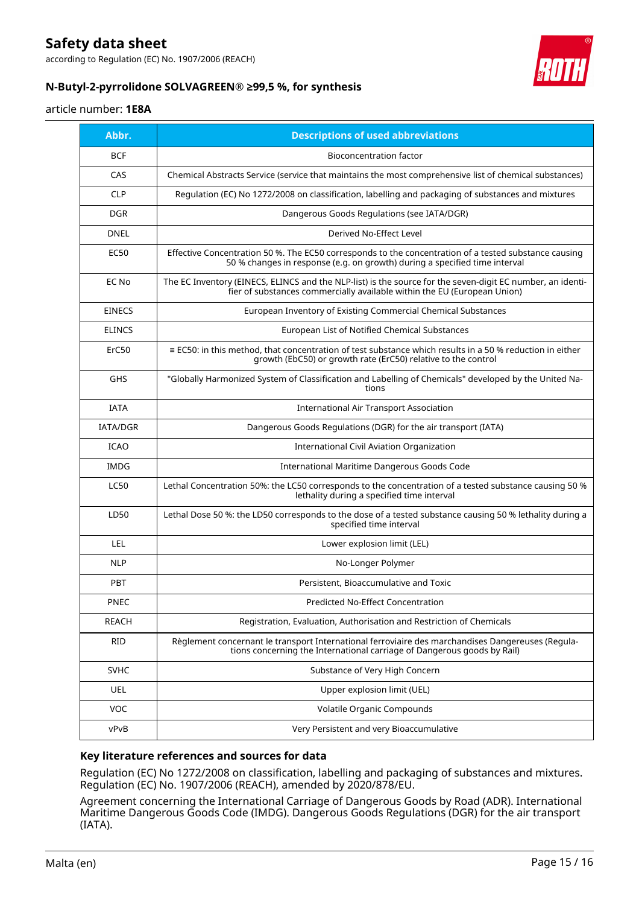according to Regulation (EC) No. 1907/2006 (REACH)



### **N-Butyl-2-pyrrolidone SOLVAGREEN® ≥99,5 %, for synthesis**

### article number: **1E8A**

| Abbr.           | <b>Descriptions of used abbreviations</b>                                                                                                                                              |
|-----------------|----------------------------------------------------------------------------------------------------------------------------------------------------------------------------------------|
| <b>BCF</b>      | <b>Bioconcentration factor</b>                                                                                                                                                         |
| CAS             | Chemical Abstracts Service (service that maintains the most comprehensive list of chemical substances)                                                                                 |
| <b>CLP</b>      | Regulation (EC) No 1272/2008 on classification, labelling and packaging of substances and mixtures                                                                                     |
| <b>DGR</b>      | Dangerous Goods Regulations (see IATA/DGR)                                                                                                                                             |
| <b>DNEL</b>     | Derived No-Effect Level                                                                                                                                                                |
| EC50            | Effective Concentration 50 %. The EC50 corresponds to the concentration of a tested substance causing<br>50 % changes in response (e.g. on growth) during a specified time interval    |
| EC No           | The EC Inventory (EINECS, ELINCS and the NLP-list) is the source for the seven-digit EC number, an identi-<br>fier of substances commercially available within the EU (European Union) |
| <b>EINECS</b>   | European Inventory of Existing Commercial Chemical Substances                                                                                                                          |
| <b>ELINCS</b>   | European List of Notified Chemical Substances                                                                                                                                          |
| ErC50           | $\equiv$ EC50: in this method, that concentration of test substance which results in a 50 % reduction in either<br>growth (EbC50) or growth rate (ErC50) relative to the control       |
| GHS             | "Globally Harmonized System of Classification and Labelling of Chemicals" developed by the United Na-<br>tions                                                                         |
| <b>IATA</b>     | <b>International Air Transport Association</b>                                                                                                                                         |
| <b>IATA/DGR</b> | Dangerous Goods Regulations (DGR) for the air transport (IATA)                                                                                                                         |
| <b>ICAO</b>     | <b>International Civil Aviation Organization</b>                                                                                                                                       |
| <b>IMDG</b>     | International Maritime Dangerous Goods Code                                                                                                                                            |
| LC50            | Lethal Concentration 50%: the LC50 corresponds to the concentration of a tested substance causing 50 %<br>lethality during a specified time interval                                   |
| LD50            | Lethal Dose 50 %: the LD50 corresponds to the dose of a tested substance causing 50 % lethality during a<br>specified time interval                                                    |
| <b>LEL</b>      | Lower explosion limit (LEL)                                                                                                                                                            |
| <b>NLP</b>      | No-Longer Polymer                                                                                                                                                                      |
| <b>PBT</b>      | Persistent, Bioaccumulative and Toxic                                                                                                                                                  |
| PNEC            | Predicted No-Effect Concentration                                                                                                                                                      |
| <b>REACH</b>    | Registration, Evaluation, Authorisation and Restriction of Chemicals                                                                                                                   |
| <b>RID</b>      | Règlement concernant le transport International ferroviaire des marchandises Dangereuses (Regula-<br>tions concerning the International carriage of Dangerous goods by Rail)           |
| <b>SVHC</b>     | Substance of Very High Concern                                                                                                                                                         |
| UEL             | Upper explosion limit (UEL)                                                                                                                                                            |
| <b>VOC</b>      | Volatile Organic Compounds                                                                                                                                                             |
| vPvB            | Very Persistent and very Bioaccumulative                                                                                                                                               |

### **Key literature references and sources for data**

Regulation (EC) No 1272/2008 on classification, labelling and packaging of substances and mixtures. Regulation (EC) No. 1907/2006 (REACH), amended by 2020/878/EU.

Agreement concerning the International Carriage of Dangerous Goods by Road (ADR). International Maritime Dangerous Goods Code (IMDG). Dangerous Goods Regulations (DGR) for the air transport (IATA).